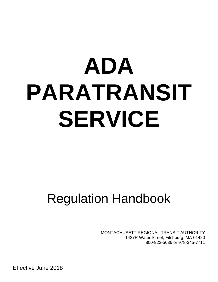# **ADA PARATRANSIT SERVICE**

# Regulation Handbook

MONTACHUSETT REGIONAL TRANSIT AUTHORITY 1427R Water Street, Fitchburg, MA 01420 800-922-5636 or 978-345-7711

Effective June 2018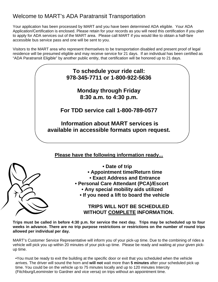### Welcome to MART's ADA Paratransit Transportation

Your application has been processed by MART and you have been determined ADA eligible. Your ADA Application/Certification is enclosed. Please retain for your records as you will need this certification if you plan to apply for ADA services out of the MART area. Please call MART if you would like to obtain a half-fare accessible bus service pass and one will be sent to you.

Visitors to the MART area who represent themselves to be transportation disabled and present proof of legal residence will be presumed eligible and may receive service for 21 days. If an individual has been certified as "ADA Paratransit Eligible" by another public entity, that certification will be honored up to 21 days.

## **To schedule your ride call: 978-345-7711 or 1-800-922-5636**

**Monday through Friday 8:30 a.m. to 4:30 p.m.** 

**For TDD service call 1-800-789-0577** 

 **Information about MART services is available in accessible formats upon request.** 

#### **Please have the following information ready...**



- **Appointment time/Return time**
- **Exact Address and Entrance**
- **Personal Care Attendant (PCA)/Escort** 
	- **Any special mobility aids utilized**
	- **If you need a lift to board the vehicle**

#### **TRIPS WILL NOT BE SCHEDULED WITHOUT COMPLETE INFORMATION.**

**Trips must be called in before 4:30 p.m. for service the next day. Trips may be scheduled up to four weeks in advance. There are no trip purpose restrictions or restrictions on the number of round trips allowed per individual per day.**

MART's Customer Service Representative will inform you of your pick-up time. Due to the combining of rides a vehicle will pick you up within 20 minutes of your pick-up time. Please be ready and waiting at your given pickup time.

•You must be ready to exit the building at the specific door or exit that you scheduled when the vehicle arrives. The driver will sound the horn and **will not** wait more than **5 minutes** after your scheduled pick up time. You could be on the vehicle up to 75 minutes locally and up to 120 minutes Intercity (Fitchburg/Leominster to Gardner and vice versa) on trips without an appointment time.

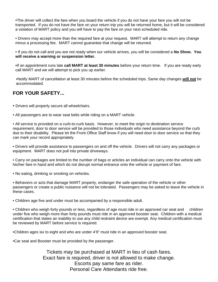•The driver will collect the fare when you board the vehicle if you do not have your fare you will not be transported. If you do not have the fare on your return trip you will be returned home, but it will be considered a violation of MART policy and you will have to pay the fare on your next scheduled ride.

• Drivers may accept more than the required fare at your request. MART will attempt to return any change minus a processing fee. MART cannot guarantee that change will be returned.

• If you do not call and you are not ready when our vehicle arrives, you will be considered a **No Show. You will receive a warning or suspension letter.** 

•If an appointment runs late **call MART at least 30 minutes** before your return time. If you are ready early call MART and we will attempt to pick you up earlier.

•Notify MART of cancellation at least 30 minutes before the scheduled trips. Same day changes **will not** be accommodated.

#### **FOR YOUR SAFETY...**

• Drivers will properly secure all wheelchairs.

• All passengers are to wear seat belts while riding on a MART vehicle.

• All service is provided on a curb-to-curb basis. However, to meet the origin to destination service requirement, door to door service will be provided to those individuals who need assistance beyond the curb due to their disability. Please let the Front Office Staff know if you will need door to door service so that they can mark your record appropriately.

• Drivers will provide assistance to passengers on and off the vehicle. Drivers will not carry any packages or equipment. MART does not pull into private driveways.

• Carry on packages are limited to the number of bags or articles an individual can carry onto the vehicle with his/her fare in hand and which do not disrupt normal entrance onto the vehicle or payment of fare.

• No eating, drinking or smoking on vehicles.

• Behaviors or acts that damage MART property, endanger the safe operation of the vehicle or other passengers or create a public nuisance will not be tolerated. Passengers may be asked to leave the vehicle in these cases.

• Children age five and under must be accompanied by a responsible adult.

• Children who weigh forty pounds or less, regardless of age must ride in an approved car seat and children under five who weigh more than forty pounds must ride in an approved booster seat. Children with a medical certification that states an inability to use any child restraint device are exempt. Any medical certification must be reviewed by MART before service is required.

•Children ages six to eight and who are under 4'9" must ride in an approved booster seat.

•Car seat and Booster must be provided by the passenger.

Tickets may be purchased at MART in lieu of cash fares. Exact fare is required, driver is not allowed to make change. Escorts pay same fare as rider. Personal Care Attendants ride free.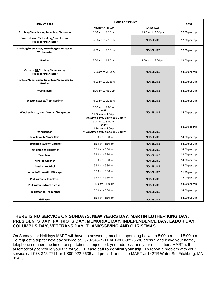| <b>SERVICE AREA</b>                                         | <b>HOURS OF SERVICE</b>                                                                     |                    | <b>COST</b>     |
|-------------------------------------------------------------|---------------------------------------------------------------------------------------------|--------------------|-----------------|
|                                                             | MONDAY-FRIDAY                                                                               | <b>SATURDAY</b>    |                 |
| Fitchburg/Leominster/ Lunenburg/Lancaster                   | 5:00 am to 7:30 pm                                                                          | 9:00 am to 6:30pm  | \$2.00 per trip |
| Westminster TO Fitchburg/Leominster/<br>Lunenburg/Lancaster | 6:00am to 7:15pm                                                                            | <b>NO SERVICE</b>  | \$2.00 per trip |
| Fitchburg/Leominster/ Lunenburg/Lancaster TO<br>Westminster | 6:00am to 7:15pm                                                                            | <b>NO SERVICE</b>  | \$2.00 per trip |
| Gardner                                                     | 6:00 am to 6:30 pm                                                                          | 9:00 am to 5:00 pm | \$2.00 per trip |
| Gardner TO Fitchburg/Leominster/<br>Lunenburg/Lancaster     | 6:00am to 7:15pm                                                                            | <b>NO SERVICE</b>  | \$4.00 per trip |
| Fitchburg/Leominster/ Lunenburg/Lancaster TO<br>Gardner     | 6:00am to 7:15pm                                                                            | <b>NO SERVICE</b>  | \$4.00 per trip |
| Westminster                                                 | 6:00 am to 4:30 pm                                                                          | <b>NO SERVICE</b>  | \$2.00 per trip |
| <b>Westminster to/from Gardner</b>                          | 6:00am to 7:15pm                                                                            | <b>NO SERVICE</b>  | \$2.00 per trip |
| Winchendon to/from Gardner/Templeton                        | 6:00 am to 9:00 am<br>and $**$<br>11:30 am to 4:00 pm<br>**No Service 9:00 am to 11:30 am** | <b>NO SERVICE</b>  | \$4.00 per trip |
| Winchendon                                                  | 6:00 am to 9:00 am<br>$and**$<br>11:30 am to 4:00 pm<br>**No Service 9:00 am to 11:30 am**  | <b>NO SERVICE</b>  | \$2.00 per trip |
| <b>Templeton to/From Athol</b>                              | 5:30 am- 6:30 pm                                                                            | <b>NO SERVICE</b>  | \$4.00 per trip |
| <b>Templeton to/from Gardner</b>                            | 5:30 am- 6:30 pm                                                                            | <b>NO SERVICE</b>  | \$4.00 per trip |
| <b>Templeton to Phillipston</b>                             | 5:30 am- 6:30 pm                                                                            | <b>NO SERVICE</b>  | \$4.00 per trip |
| <b>Templeton</b>                                            | 5:30 am- 6:30 pm                                                                            | <b>NO SERVICE</b>  | \$2.00 per trip |
| <b>Athol to Gardner</b>                                     | 5:30 am- 6:30 pm                                                                            | <b>NO SERVICE</b>  | \$4.00 per trip |
| <b>Gardner to Athol</b>                                     | 5:30 am- 6:30 pm                                                                            | <b>NO SERVICE</b>  | \$4.00 per trip |
| <b>Athol to/from Athol/Orange</b>                           | 5:30 am- 6:30 pm                                                                            | <b>NO SERVICE</b>  | \$1.50 per trip |
| <b>Phillipston to Templeton</b>                             | 5:30 am- 6:30 pm                                                                            | <b>NO SERVICE</b>  | \$4.00 per trip |
| <b>Phillipston to/from Gardner</b>                          | 5:30 am- 6:30 pm                                                                            | <b>NO SERVICE</b>  | \$4.00 per trip |
| Phillipston to/From Athol                                   | 5:30 am- 6:30 pm                                                                            | <b>NO SERVICE</b>  | \$4.00 per trip |
| Phillipston                                                 | 5:30 am- 6:30 pm                                                                            | <b>NO SERVICE</b>  | \$2.00 per trip |

#### **THERE IS NO SERVICE ON SUNDAYS, NEW YEARS DAY, MARTIN LUTHER KING DAY, PRESIDENTS DAY, PATRIOTS DAY, MEMORIAL DAY, INDEPENDENCE DAY, LABOR DAY, COLUMBUS DAY, VETERANS DAY, THANKSGIVING AND CHRISTMAS**

On Sundays or Holidays MART will have an answering machine operating between 8:00 a.m. and 5:00 p.m. To request a trip for next day service call 978-345-7711 or 1-800-922-5636 press 5 and leave your name, telephone number, the time transportation is requested, your address, and your destination. MART will automatically schedule your trip for you. **Please call to confirm your trip**. To report a problem with your service call 978-345-7711 or 1-800-922-5636 and press 1 or mail to MART at 1427R Water St., Fitchburg, MA 01420.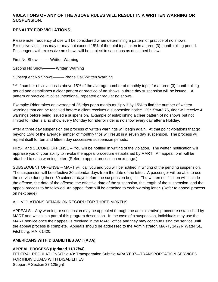#### **VIOLATIONS OF ANY OF THE ABOVE RULES WILL RESULT IN A WRITTEN WARNING OR SUSPENSION.**

#### **PENALTY FOR VIOLATIONS:**

Please note frequency of use will be considered when determining a pattern or practice of no shows. Excessive violations may or may not exceed 15% of the total trips taken in a three (3) month rolling period. Passengers with excessive no shows will be subject to sanctions as described below.

First No Show——— Written Warning

Second No Show——— Written Warning

Subsequent No Shows———Phone Call/Written Warning

\*\*\* If number of violations is above 15% of the average number of monthly trips, for a three (3) month rolling period and establishes a clear pattern or practice of no shows, a three day suspension will be issued. A pattern or practice involves intentional, repeated or regular no shows.

Example: Rider takes an average of 25 trips per a month multiply it by 15% to find the number of written warnings that can be received before a client receives a suspension notice. 25\*15%=3.75, rider will receive 4 warnings before being issued a suspension. Example of establishing a clear pattern of no shows but not limited to, rider is a no show every Monday for rider or rider is no show every day after a Holiday.

After a three day suspension the process of written warnings will begin again. At that point violations that go beyond 15% of the average number of monthly trips will result in a seven day suspension. The process will repeat itself for ten and fifteen day successive suspension periods.

FIRST and SECOND OFFENSE – You will be notified in writing of the violation. The written notification will appraise you of your ability to invoke the appeal procedure established by MART. An appeal form will be attached to each warning letter. (Refer to appeal process on next page.)

SUBSEQUENT OFFENSE – MART will call you and you will be notified in writing of the pending suspension. The suspension will be effective 30 calendar days from the date of the letter. A passenger will be able to use the service during these 30 calendar days before the suspension begins. The written notification will include the offense, the date of the offense, the effective date of the suspension, the length of the suspension, and the appeal process to be followed. An appeal form will be attached to each warning letter. (Refer to appeal process on next page)

#### ALL VIOLATIONS REMAIN ON RECORD FOR THREE MONTHS

APPEALS – Any warning or suspension may be appealed through the administrative procedure established by MART and which is a part of this program description. In the case of a suspension, individuals may use the MART service once their appeal is received in the MART office and they may continue using the service until the appeal process is complete. Appeals should be addressed to the Administrator, MART, 1427R Water St., Fitchburg, MA 01420.

#### **AMERICANS WITH DISABILITIES ACT (ADA)**

#### **APPEAL PROCESS (Updated 11/17/94)**

FEDERAL REGULATIONS/Title 49: Transportation Subtitle A/PART 37—TRANSPORTATION SERVICES FOR INDIVIDUALS WITH DISABILITIES Subpart F Section 37.125(g-i)